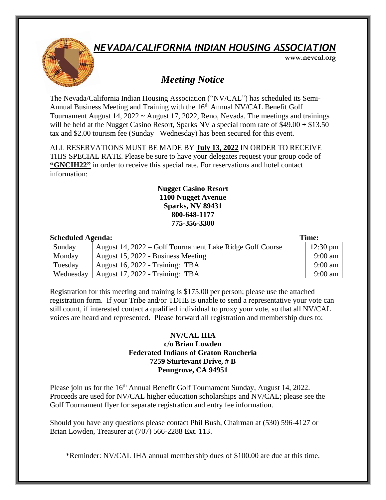### *NEVADA/CALIFORNIA INDIAN HOUSING ASSOCIATION*



 **www.nevcal.org**

### *Meeting Notice*

The Nevada/California Indian Housing Association ("NV/CAL") has scheduled its Semi-Annual Business Meeting and Training with the 16<sup>th</sup> Annual NV/CAL Benefit Golf Tournament August 14, 2022 ~ August 17, 2022, Reno, Nevada. The meetings and trainings will be held at the Nugget Casino Resort, Sparks NV a special room rate of \$49.00 + \$13.50 tax and \$2.00 tourism fee (Sunday –Wednesday) has been secured for this event.

ALL RESERVATIONS MUST BE MADE BY **July 13, 2022** IN ORDER TO RECEIVE THIS SPECIAL RATE. Please be sure to have your delegates request your group code of **"GNCIH22"** in order to receive this special rate. For reservations and hotel contact information:

#### **Nugget Casino Resort 1100 Nugget Avenue Sparks, NV 89431 800-648-1177 775-356-3300**

| <b>Scheduled Agenda:</b> |                                                          | Time:              |
|--------------------------|----------------------------------------------------------|--------------------|
| Sunday                   | August 14, 2022 – Golf Tournament Lake Ridge Golf Course | $12:30 \text{ pm}$ |
| Monday                   | August 15, 2022 - Business Meeting                       | $9:00$ am          |
| Tuesday                  | August 16, 2022 - Training: TBA                          | $9:00$ am          |
| Wednesday                | August 17, 2022 - Training: TBA                          | $9:00$ am          |

Registration for this meeting and training is \$175.00 per person; please use the attached registration form. If your Tribe and/or TDHE is unable to send a representative your vote can still count, if interested contact a qualified individual to proxy your vote, so that all NV/CAL voices are heard and represented. Please forward all registration and membership dues to:

#### **NV/CAL IHA c/o Brian Lowden Federated Indians of Graton Rancheria 7259 Sturtevant Drive, # B Penngrove, CA 94951**

Please join us for the 16<sup>th</sup> Annual Benefit Golf Tournament Sunday, August 14, 2022. Proceeds are used for NV/CAL higher education scholarships and NV/CAL; please see the Golf Tournament flyer for separate registration and entry fee information.

Should you have any questions please contact Phil Bush, Chairman at (530) 596-4127 or Brian Lowden, Treasurer at (707) 566-2288 Ext. 113.

\*Reminder: NV/CAL IHA annual membership dues of \$100.00 are due at this time.